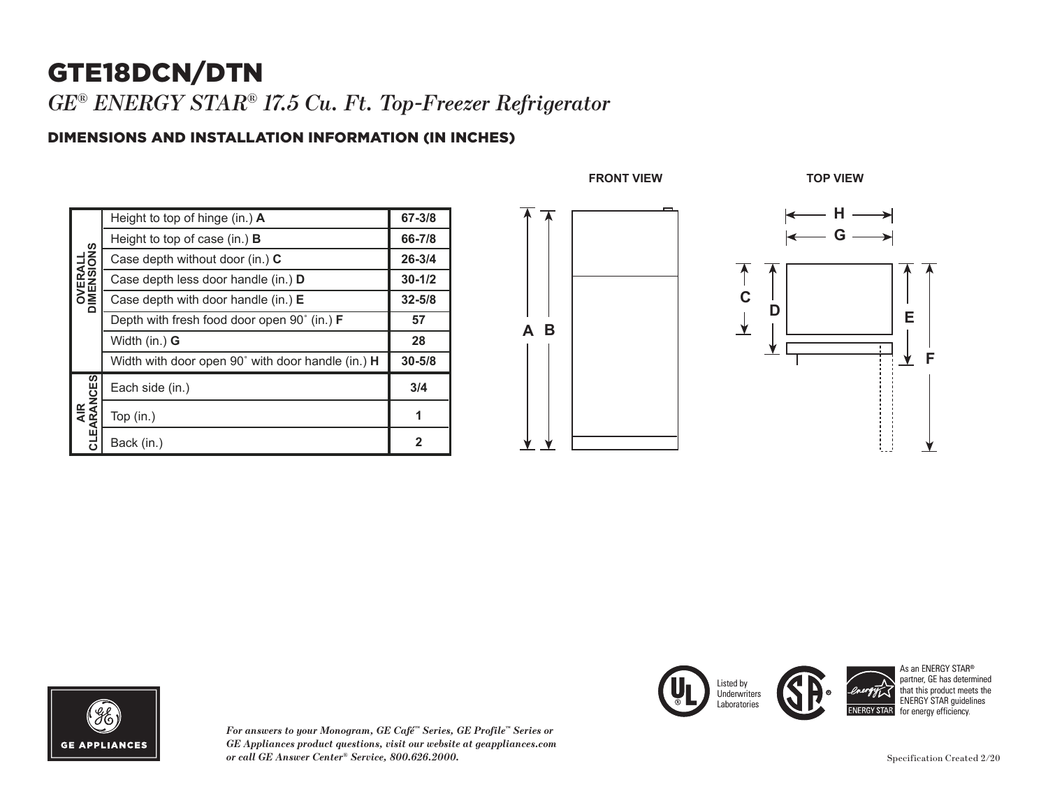## GTE18DCN/DTN

*GE® ENERGY STAR® 17.5 Cu. Ft. Top-Freezer Refrigerator* 

## DIMENSIONS AND INSTALLATION INFORMATION (IN INCHES)

| <b>OVERALL</b><br>DIMENSIONS | Height to top of hinge (in.) $\boldsymbol{A}$               | $67 - 3/8$ |
|------------------------------|-------------------------------------------------------------|------------|
|                              | Height to top of case (in.) $B$                             | 66-7/8     |
|                              | Case depth without door (in.) C                             | $26 - 3/4$ |
|                              | Case depth less door handle (in.) <b>D</b>                  | $30 - 1/2$ |
|                              | Case depth with door handle (in.) $E$                       | $32 - 5/8$ |
|                              | Depth with fresh food door open $90^{\circ}$ (in.) <b>F</b> | 57         |
|                              | Width (in.) G                                               | 28         |
|                              | Width with door open 90° with door handle (in.) H           | $30 - 5/8$ |
| CLEARANCES<br><b>AIR</b>     | Each side (in.)                                             | 3/4        |
|                              | Top $(in.)$                                                 | 1          |
|                              | Back (in.)                                                  | 2          |



Listed by **Underwriters** 



*For answers to your Monogram, GE Café™ Series, GE Profile™ Series or GE Appliances product questions, visit our website at geappliances.com or call GE Answer Center® Service, 800.626.2000.*



**1**

**1**

As an ENERGY STAR® partner, GE has determined that this product meets the